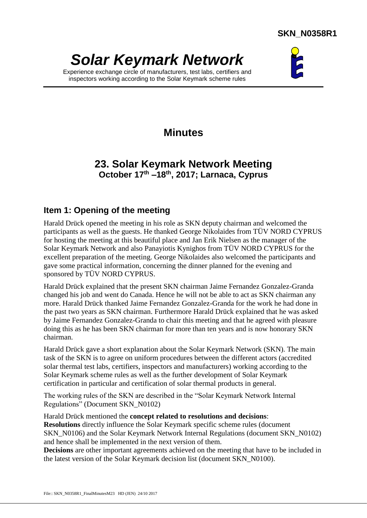# *Solar Keymark Network*

Experience exchange circle of manufacturers, test labs, certifiers and inspectors working according to the Solar Keymark scheme rules



## **Minutes**

## **23. Solar Keymark Network Meeting October 17th –18th , 2017; Larnaca, Cyprus**

## **Item 1: Opening of the meeting**

Harald Drück opened the meeting in his role as SKN deputy chairman and welcomed the participants as well as the guests. He thanked George Nikolaides from TÜV NORD CYPRUS for hosting the meeting at this beautiful place and Jan Erik Nielsen as the manager of the Solar Keymark Network and also Panayiotis Kynighos from TÜV NORD CYPRUS for the excellent preparation of the meeting. George Nikolaides also welcomed the participants and gave some practical information, concerning the dinner planned for the evening and sponsored by TÜV NORD CYPRUS.

Harald Drück explained that the present SKN chairman Jaime Fernandez Gonzalez-Granda changed his job and went do Canada. Hence he will not be able to act as SKN chairman any more. Harald Drück thanked Jaime Fernandez Gonzalez-Granda for the work he had done in the past two years as SKN chairman. Furthermore Harald Drück explained that he was asked by Jaime Fernandez Gonzalez-Granda to chair this meeting and that he agreed with pleasure doing this as he has been SKN chairman for more than ten years and is now honorary SKN chairman.

Harald Drück gave a short explanation about the Solar Keymark Network (SKN). The main task of the SKN is to agree on uniform procedures between the different actors (accredited solar thermal test labs, certifiers, inspectors and manufacturers) working according to the Solar Keymark scheme rules as well as the further development of Solar Keymark certification in particular and certification of solar thermal products in general.

The working rules of the SKN are described in the "Solar Keymark Network Internal Regulations" (Document SKN\_N0102)

Harald Drück mentioned the **concept related to resolutions and decisions**: **Resolutions** directly influence the Solar Keymark specific scheme rules (document SKN\_N0106) and the Solar Keymark Network Internal Regulations (document SKN\_N0102) and hence shall be implemented in the next version of them.

**Decisions** are other important agreements achieved on the meeting that have to be included in the latest version of the Solar Keymark decision list (document SKN\_N0100).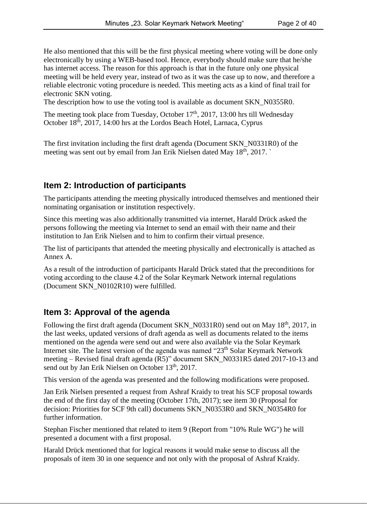He also mentioned that this will be the first physical meeting where voting will be done only electronically by using a WEB-based tool. Hence, everybody should make sure that he/she has internet access. The reason for this approach is that in the future only one physical meeting will be held every year, instead of two as it was the case up to now, and therefore a reliable electronic voting procedure is needed. This meeting acts as a kind of final trail for electronic SKN voting.

The description how to use the voting tool is available as document SKN\_N0355R0.

The meeting took place from Tuesday, October  $17<sup>th</sup>$ , 2017, 13:00 hrs till Wednesday October 18<sup>th</sup>, 2017, 14:00 hrs at the Lordos Beach Hotel, Larnaca, Cyprus

The first invitation including the first draft agenda (Document SKN\_N0331R0) of the meeting was sent out by email from Jan Erik Nielsen dated May 18<sup>th</sup>, 2017.

## **Item 2: Introduction of participants**

The participants attending the meeting physically introduced themselves and mentioned their nominating organisation or institution respectively.

Since this meeting was also additionally transmitted via internet, Harald Drück asked the persons following the meeting via Internet to send an email with their name and their institution to Jan Erik Nielsen and to him to confirm their virtual presence.

The list of participants that attended the meeting physically and electronically is attached as Annex A.

As a result of the introduction of participants Harald Drück stated that the preconditions for voting according to the clause 4.2 of the Solar Keymark Network internal regulations (Document SKN\_N0102R10) were fulfilled.

## **Item 3: Approval of the agenda**

Following the first draft agenda (Document SKN\_N0331R0) send out on May 18<sup>th</sup>, 2017, in the last weeks, updated versions of draft agenda as well as documents related to the items mentioned on the agenda were send out and were also available via the Solar Keymark Internet site. The latest version of the agenda was named "23th Solar Keymark Network meeting – Revised final draft agenda (R5)" document SKN\_N0331R5 dated 2017-10-13 and send out by Jan Erik Nielsen on October 13<sup>th</sup>, 2017.

This version of the agenda was presented and the following modifications were proposed.

Jan Erik Nielsen presented a request from Ashraf Kraidy to treat his SCF proposal towards the end of the first day of the meeting (October 17th, 2017); see item 30 (Proposal for decision: Priorities for SCF 9th call) documents SKN\_N0353R0 and SKN\_N0354R0 for further information.

Stephan Fischer mentioned that related to item 9 (Report from "10% Rule WG") he will presented a document with a first proposal.

Harald Drück mentioned that for logical reasons it would make sense to discuss all the proposals of item 30 in one sequence and not only with the proposal of Ashraf Kraidy.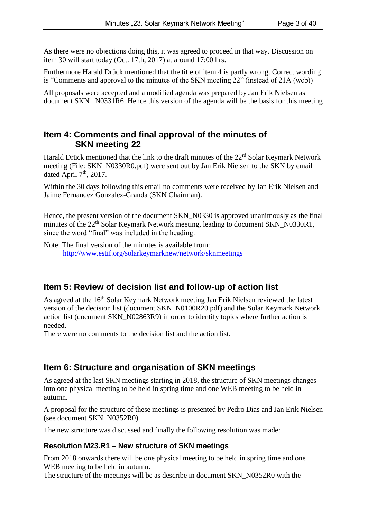As there were no objections doing this, it was agreed to proceed in that way. Discussion on item 30 will start today (Oct. 17th, 2017) at around 17:00 hrs.

Furthermore Harald Drück mentioned that the title of item 4 is partly wrong. Correct wording is "Comments and approval to the minutes of the SKN meeting 22" (instead of 21A (web))

All proposals were accepted and a modified agenda was prepared by Jan Erik Nielsen as document SKN N0331R6. Hence this version of the agenda will be the basis for this meeting

## **Item 4: Comments and final approval of the minutes of SKN meeting 22**

Harald Drück mentioned that the link to the draft minutes of the 22rd Solar Keymark Network meeting (File: SKN\_N0330R0.pdf) were sent out by Jan Erik Nielsen to the SKN by email dated April  $7<sup>th</sup>$ , 2017.

Within the 30 days following this email no comments were received by Jan Erik Nielsen and Jaime Fernandez Gonzalez-Granda (SKN Chairman).

Hence, the present version of the document SKN\_N0330 is approved unanimously as the final minutes of the 22<sup>th</sup> Solar Keymark Network meeting, leading to document SKN N0330R1, since the word "final" was included in the heading.

Note: The final version of the minutes is available from: <http://www.estif.org/solarkeymarknew/network/sknmeetings>

## **Item 5: Review of decision list and follow-up of action list**

As agreed at the 16<sup>th</sup> Solar Keymark Network meeting Jan Erik Nielsen reviewed the latest version of the decision list (document SKN\_N0100R20.pdf) and the Solar Keymark Network action list (document SKN\_N02863R9) in order to identify topics where further action is needed.

There were no comments to the decision list and the action list.

## **Item 6: Structure and organisation of SKN meetings**

As agreed at the last SKN meetings starting in 2018, the structure of SKN meetings changes into one physical meeting to be held in spring time and one WEB meeting to be held in autumn.

A proposal for the structure of these meetings is presented by Pedro Dias and Jan Erik Nielsen (see document SKN\_N0352R0).

The new structure was discussed and finally the following resolution was made:

#### **Resolution M23.R1 – New structure of SKN meetings**

From 2018 onwards there will be one physical meeting to be held in spring time and one WEB meeting to be held in autumn.

The structure of the meetings will be as describe in document SKN\_N0352R0 with the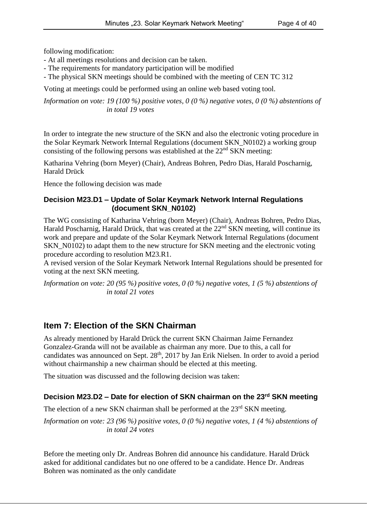following modification:

- At all meetings resolutions and decision can be taken.
- The requirements for mandatory participation will be modified
- The physical SKN meetings should be combined with the meeting of CEN TC 312

Voting at meetings could be performed using an online web based voting tool.

*Information on vote: 19 (100 %) positive votes, 0 (0 %) negative votes, 0 (0 %) abstentions of in total 19 votes*

In order to integrate the new structure of the SKN and also the electronic voting procedure in the Solar Keymark Network Internal Regulations (document SKN\_N0102) a working group consisting of the following persons was established at the  $22<sup>nd</sup>$  SKN meeting:

Katharina Vehring (born Meyer) (Chair), Andreas Bohren, Pedro Dias, Harald Poscharnig, Harald Drück

Hence the following decision was made

#### **Decision M23.D1 – Update of Solar Keymark Network Internal Regulations (document SKN\_N0102)**

The WG consisting of Katharina Vehring (born Meyer) (Chair), Andreas Bohren, Pedro Dias, Harald Poscharnig, Harald Drück, that was created at the  $22<sup>nd</sup>$  SKN meeting, will continue its work and prepare and update of the Solar Keymark Network Internal Regulations (document SKN\_N0102) to adapt them to the new structure for SKN meeting and the electronic voting procedure according to resolution M23.R1.

A revised version of the Solar Keymark Network Internal Regulations should be presented for voting at the next SKN meeting.

*Information on vote: 20 (95 %) positive votes, 0 (0 %) negative votes, 1 (5 %) abstentions of in total 21 votes*

## **Item 7: Election of the SKN Chairman**

As already mentioned by Harald Drück the current SKN Chairman Jaime Fernandez Gonzalez-Granda will not be available as chairman any more. Due to this, a call for candidates was announced on Sept. 28<sup>th</sup>, 2017 by Jan Erik Nielsen. In order to avoid a period without chairmanship a new chairman should be elected at this meeting.

The situation was discussed and the following decision was taken:

#### **Decision M23.D2 – Date for election of SKN chairman on the 23rd SKN meeting**

The election of a new SKN chairman shall be performed at the  $23<sup>rd</sup>$  SKN meeting.

*Information on vote: 23 (96 %) positive votes, 0 (0 %) negative votes, 1 (4 %) abstentions of in total 24 votes*

Before the meeting only Dr. Andreas Bohren did announce his candidature. Harald Drück asked for additional candidates but no one offered to be a candidate. Hence Dr. Andreas Bohren was nominated as the only candidate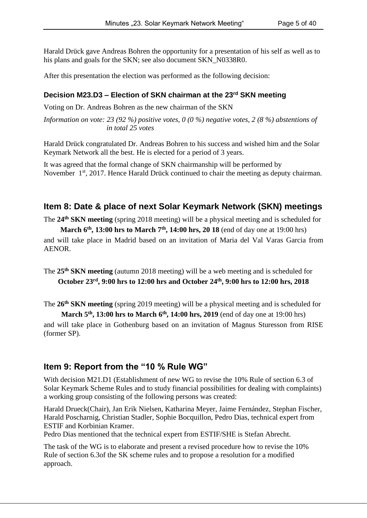Harald Drück gave Andreas Bohren the opportunity for a presentation of his self as well as to his plans and goals for the SKN; see also document SKN\_N0338R0.

After this presentation the election was performed as the following decision:

#### **Decision M23.D3 – Election of SKN chairman at the 23rd SKN meeting**

Voting on Dr. Andreas Bohren as the new chairman of the SKN

*Information on vote: 23 (92 %) positive votes, 0 (0 %) negative votes, 2 (8 %) abstentions of in total 25 votes*

Harald Drück congratulated Dr. Andreas Bohren to his success and wished him and the Solar Keymark Network all the best. He is elected for a period of 3 years.

It was agreed that the formal change of SKN chairmanship will be performed by November 1<sup>st</sup>, 2017. Hence Harald Drück continued to chair the meeting as deputy chairman.

## **Item 8: Date & place of next Solar Keymark Network (SKN) meetings**

The **24th SKN meeting** (spring 2018 meeting) will be a physical meeting and is scheduled for

**March 6th, 13:00 hrs to March 7th , 14:00 hrs, 20 18** (end of day one at 19:00 hrs) and will take place in Madrid based on an invitation of Maria del Val Varas Garcia from AENOR.

The **25th SKN meeting** (autumn 2018 meeting) will be a web meeting and is scheduled for **October 23rd, 9:00 hrs to 12:00 hrs and October 24th, 9:00 hrs to 12:00 hrs, 2018**

The **26th SKN meeting** (spring 2019 meeting) will be a physical meeting and is scheduled for

**March 5th, 13:00 hrs to March 6th, 14:00 hrs, 2019** (end of day one at 19:00 hrs) and will take place in Gothenburg based on an invitation of Magnus Sturesson from RISE (former SP).

## **Item 9: Report from the "10 % Rule WG"**

With decision M21.D1 (Establishment of new WG to revise the 10% Rule of section 6.3 of Solar Keymark Scheme Rules and to study financial possibilities for dealing with complaints) a working group consisting of the following persons was created:

Harald Drueck(Chair), Jan Erik Nielsen, Katharina Meyer, Jaime Fernández, Stephan Fischer, Harald Poscharnig, Christian Stadler, Sophie Bocquillon, Pedro Dias, technical expert from ESTIF and Korbinian Kramer.

Pedro Dias mentioned that the technical expert from ESTIF/SHE is Stefan Abrecht.

The task of the WG is to elaborate and present a revised procedure how to revise the 10% Rule of section 6.3of the SK scheme rules and to propose a resolution for a modified approach.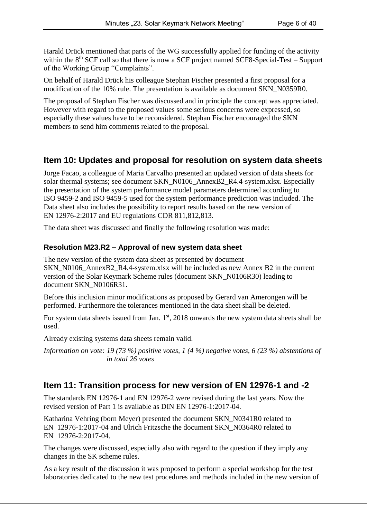Harald Drück mentioned that parts of the WG successfully applied for funding of the activity within the  $8<sup>th</sup>$  SCF call so that there is now a SCF project named SCF8-Special-Test – Support of the Working Group "Complaints".

On behalf of Harald Drück his colleague Stephan Fischer presented a first proposal for a modification of the 10% rule. The presentation is available as document SKN\_N0359R0.

The proposal of Stephan Fischer was discussed and in principle the concept was appreciated. However with regard to the proposed values some serious concerns were expressed, so especially these values have to be reconsidered. Stephan Fischer encouraged the SKN members to send him comments related to the proposal.

## **Item 10: Updates and proposal for resolution on system data sheets**

Jorge Facao, a colleague of Maria Carvalho presented an updated version of data sheets for solar thermal systems; see document SKN\_N0106\_AnnexB2\_R4.4-system.xlsx. Especially the presentation of the system performance model parameters determined according to ISO 9459-2 and ISO 9459-5 used for the system performance prediction was included. The Data sheet also includes the possibility to report results based on the new version of EN 12976-2:2017 and EU regulations CDR 811,812,813.

The data sheet was discussed and finally the following resolution was made:

#### **Resolution M23.R2 – Approval of new system data sheet**

The new version of the system data sheet as presented by document SKN\_N0106\_AnnexB2\_R4.4-system.xlsx will be included as new Annex B2 in the current version of the Solar Keymark Scheme rules (document SKN\_N0106R30) leading to document SKN\_N0106R31.

Before this inclusion minor modifications as proposed by Gerard van Amerongen will be performed. Furthermore the tolerances mentioned in the data sheet shall be deleted.

For system data sheets issued from Jan. 1st, 2018 onwards the new system data sheets shall be used.

Already existing systems data sheets remain valid.

*Information on vote: 19 (73 %) positive votes, 1 (4 %) negative votes, 6 (23 %) abstentions of in total 26 votes*

## **Item 11: Transition process for new version of EN 12976-1 and -2**

The standards EN 12976-1 and EN 12976-2 were revised during the last years. Now the revised version of Part 1 is available as DIN EN 12976-1:2017-04.

Katharina Vehring (born Meyer) presented the document SKN\_N0341R0 related to EN 12976-1:2017-04 and Ulrich Fritzsche the document SKN\_N0364R0 related to EN 12976-2:2017-04.

The changes were discussed, especially also with regard to the question if they imply any changes in the SK scheme rules.

As a key result of the discussion it was proposed to perform a special workshop for the test laboratories dedicated to the new test procedures and methods included in the new version of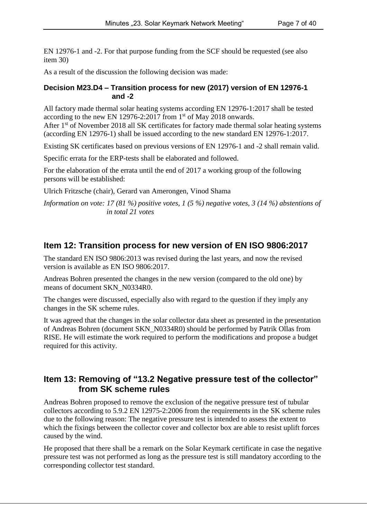EN 12976-1 and -2. For that purpose funding from the SCF should be requested (see also item 30)

As a result of the discussion the following decision was made:

#### **Decision M23.D4 – Transition process for new (2017) version of EN 12976-1 and -2**

All factory made thermal solar heating systems according EN 12976-1:2017 shall be tested according to the new EN 12976-2:2017 from  $1<sup>st</sup>$  of May 2018 onwards. After 1<sup>st</sup> of November 2018 all SK certificates for factory made thermal solar heating systems (according EN 12976-1) shall be issued according to the new standard EN 12976-1:2017.

Existing SK certificates based on previous versions of EN 12976-1 and -2 shall remain valid.

Specific errata for the ERP-tests shall be elaborated and followed.

For the elaboration of the errata until the end of 2017 a working group of the following persons will be established:

Ulrich Fritzsche (chair), Gerard van Amerongen, Vinod Shama

*Information on vote: 17 (81 %) positive votes, 1 (5 %) negative votes, 3 (14 %) abstentions of in total 21 votes*

#### **Item 12: Transition process for new version of EN ISO 9806:2017**

The standard EN ISO 9806:2013 was revised during the last years, and now the revised version is available as EN ISO 9806:2017.

Andreas Bohren presented the changes in the new version (compared to the old one) by means of document SKN\_N0334R0.

The changes were discussed, especially also with regard to the question if they imply any changes in the SK scheme rules.

It was agreed that the changes in the solar collector data sheet as presented in the presentation of Andreas Bohren (document SKN\_N0334R0) should be performed by Patrik Ollas from RISE. He will estimate the work required to perform the modifications and propose a budget required for this activity.

#### **Item 13: Removing of "13.2 Negative pressure test of the collector" from SK scheme rules**

Andreas Bohren proposed to remove the exclusion of the negative pressure test of tubular collectors according to 5.9.2 EN 12975-2:2006 from the requirements in the SK scheme rules due to the following reason: The negative pressure test is intended to assess the extent to which the fixings between the collector cover and collector box are able to resist uplift forces caused by the wind.

He proposed that there shall be a remark on the Solar Keymark certificate in case the negative pressure test was not performed as long as the pressure test is still mandatory according to the corresponding collector test standard.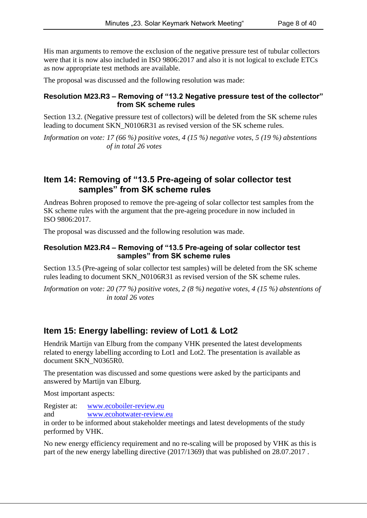His man arguments to remove the exclusion of the negative pressure test of tubular collectors were that it is now also included in ISO 9806:2017 and also it is not logical to exclude ETCs as now appropriate test methods are available.

The proposal was discussed and the following resolution was made:

#### **Resolution M23.R3 – Removing of "13.2 Negative pressure test of the collector" from SK scheme rules**

Section 13.2. (Negative pressure test of collectors) will be deleted from the SK scheme rules leading to document SKN\_N0106R31 as revised version of the SK scheme rules.

*Information on vote: 17 (66 %) positive votes, 4 (15 %) negative votes, 5 (19 %) abstentions of in total 26 votes*

## **Item 14: Removing of "13.5 Pre-ageing of solar collector test samples" from SK scheme rules**

Andreas Bohren proposed to remove the pre-ageing of solar collector test samples from the SK scheme rules with the argument that the pre-ageing procedure in now included in ISO 9806:2017.

The proposal was discussed and the following resolution was made.

#### **Resolution M23.R4 – Removing of "13.5 Pre-ageing of solar collector test samples" from SK scheme rules**

Section 13.5 (Pre-ageing of solar collector test samples) will be deleted from the SK scheme rules leading to document SKN\_N0106R31 as revised version of the SK scheme rules.

*Information on vote: 20 (77 %) positive votes, 2 (8 %) negative votes, 4 (15 %) abstentions of in total 26 votes*

## **Item 15: Energy labelling: review of Lot1 & Lot2**

Hendrik Martijn van Elburg from the company VHK presented the latest developments related to energy labelling according to Lot1 and Lot2. The presentation is available as document SKN\_N0365R0.

The presentation was discussed and some questions were asked by the participants and answered by Martijn van Elburg.

Most important aspects:

Register at: [www.ecoboiler-review.eu](http://www.ecoboiler-review.eu/)

and [www.ecohotwater-review.eu](http://www.ecohotwater-review.eu/)

in order to be informed about stakeholder meetings and latest developments of the study performed by VHK.

No new energy efficiency requirement and no re-scaling will be proposed by VHK as this is part of the new energy labelling directive (2017/1369) that was published on 28.07.2017 .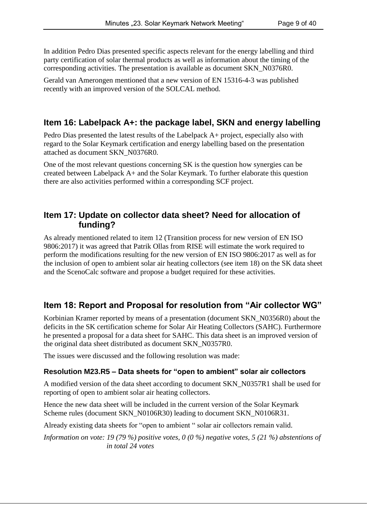In addition Pedro Dias presented specific aspects relevant for the energy labelling and third party certification of solar thermal products as well as information about the timing of the corresponding activities. The presentation is available as document SKN\_N0376R0.

Gerald van Amerongen mentioned that a new version of EN 15316-4-3 was published recently with an improved version of the SOLCAL method.

## **Item 16: Labelpack A+: the package label, SKN and energy labelling**

Pedro Dias presented the latest results of the Labelpack A+ project, especially also with regard to the Solar Keymark certification and energy labelling based on the presentation attached as document SKN\_N0376R0.

One of the most relevant questions concerning SK is the question how synergies can be created between Labelpack A+ and the Solar Keymark. To further elaborate this question there are also activities performed within a corresponding SCF project.

## **Item 17: Update on collector data sheet? Need for allocation of funding?**

As already mentioned related to item 12 (Transition process for new version of EN ISO 9806:2017) it was agreed that Patrik Ollas from RISE will estimate the work required to perform the modifications resulting for the new version of EN ISO 9806:2017 as well as for the inclusion of open to ambient solar air heating collectors (see item 18) on the SK data sheet and the ScenoCalc software and propose a budget required for these activities.

## **Item 18: Report and Proposal for resolution from "Air collector WG"**

Korbinian Kramer reported by means of a presentation (document SKN\_N0356R0) about the deficits in the SK certification scheme for Solar Air Heating Collectors (SAHC). Furthermore he presented a proposal for a data sheet for SAHC. This data sheet is an improved version of the original data sheet distributed as document SKN\_N0357R0.

The issues were discussed and the following resolution was made:

#### **Resolution M23.R5 – Data sheets for "open to ambient" solar air collectors**

A modified version of the data sheet according to document SKN\_N0357R1 shall be used for reporting of open to ambient solar air heating collectors.

Hence the new data sheet will be included in the current version of the Solar Keymark Scheme rules (document SKN\_N0106R30) leading to document SKN\_N0106R31.

Already existing data sheets for "open to ambient " solar air collectors remain valid.

*Information on vote: 19 (79 %) positive votes, 0 (0 %) negative votes, 5 (21 %) abstentions of in total 24 votes*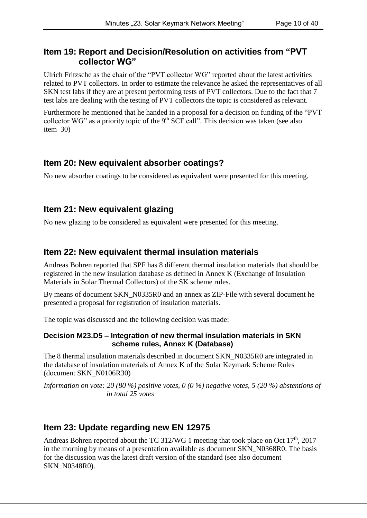#### **Item 19: Report and Decision/Resolution on activities from "PVT collector WG"**

Ulrich Fritzsche as the chair of the "PVT collector WG" reported about the latest activities related to PVT collectors. In order to estimate the relevance he asked the representatives of all SKN test labs if they are at present performing tests of PVT collectors. Due to the fact that 7 test labs are dealing with the testing of PVT collectors the topic is considered as relevant.

Furthermore he mentioned that he handed in a proposal for a decision on funding of the "PVT collector WG" as a priority topic of the 9<sup>th</sup> SCF call". This decision was taken (see also item 30)

#### **Item 20: New equivalent absorber coatings?**

No new absorber coatings to be considered as equivalent were presented for this meeting.

## **Item 21: New equivalent glazing**

No new glazing to be considered as equivalent were presented for this meeting.

## **Item 22: New equivalent thermal insulation materials**

Andreas Bohren reported that SPF has 8 different thermal insulation materials that should be registered in the new insulation database as defined in Annex K (Exchange of Insulation Materials in Solar Thermal Collectors) of the SK scheme rules.

By means of document SKN\_N0335R0 and an annex as ZIP-File with several document he presented a proposal for registration of insulation materials.

The topic was discussed and the following decision was made:

#### **Decision M23.D5 – Integration of new thermal insulation materials in SKN scheme rules, Annex K (Database)**

The 8 thermal insulation materials described in document SKN\_N0335R0 are integrated in the database of insulation materials of Annex K of the Solar Keymark Scheme Rules (document SKN\_N0106R30)

*Information on vote: 20 (80 %) positive votes, 0 (0 %) negative votes, 5 (20 %) abstentions of in total 25 votes*

## **Item 23: Update regarding new EN 12975**

Andreas Bohren reported about the TC 312/WG 1 meeting that took place on Oct 17<sup>th</sup>, 2017 in the morning by means of a presentation available as document SKN\_N0368R0. The basis for the discussion was the latest draft version of the standard (see also document SKN\_N0348R0).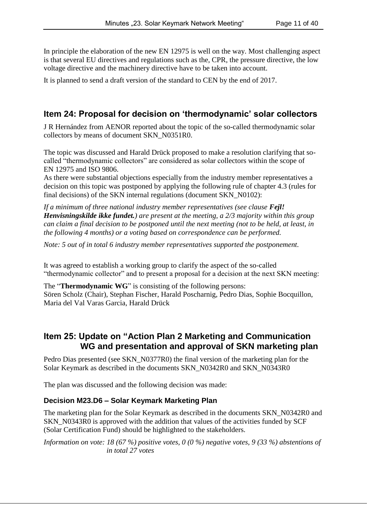In principle the elaboration of the new EN 12975 is well on the way. Most challenging aspect is that several EU directives and regulations such as the, CPR, the pressure directive, the low voltage directive and the machinery directive have to be taken into account.

It is planned to send a draft version of the standard to CEN by the end of 2017.

## **Item 24: Proposal for decision on 'thermodynamic' solar collectors**

J R Hernández from AENOR reported about the topic of the so-called thermodynamic solar collectors by means of document SKN\_N0351R0.

The topic was discussed and Harald Drück proposed to make a resolution clarifying that socalled "thermodynamic collectors" are considered as solar collectors within the scope of EN 12975 and ISO 9806.

As there were substantial objections especially from the industry member representatives a decision on this topic was postponed by applying the following rule of chapter 4.3 (rules for final decisions) of the SKN internal regulations (document SKN\_N0102):

*If a minimum of three national industry member representatives (see clause Fejl! Henvisningskilde ikke fundet.) are present at the meeting, a 2/3 majority within this group can claim a final decision to be postponed until the next meeting (not to be held, at least, in the following 4 months) or a voting based on correspondence can be performed.* 

*Note: 5 out of in total 6 industry member representatives supported the postponement.*

It was agreed to establish a working group to clarify the aspect of the so-called "thermodynamic collector" and to present a proposal for a decision at the next SKN meeting:

The "**Thermodynamic WG**" is consisting of the following persons: Sören Scholz (Chair), Stephan Fischer, Harald Poscharnig, Pedro Dias, Sophie Bocquillon, Maria del Val Varas Garcia, Harald Drück

## **Item 25: Update on "Action Plan 2 Marketing and Communication WG and presentation and approval of SKN marketing plan**

Pedro Dias presented (see SKN\_N0377R0) the final version of the marketing plan for the Solar Keymark as described in the documents SKN\_N0342R0 and SKN\_N0343R0

The plan was discussed and the following decision was made:

#### **Decision M23.D6 – Solar Keymark Marketing Plan**

The marketing plan for the Solar Keymark as described in the documents SKN\_N0342R0 and SKN\_N0343R0 is approved with the addition that values of the activities funded by SCF (Solar Certification Fund) should be highlighted to the stakeholders.

*Information on vote: 18 (67 %) positive votes, 0 (0 %) negative votes, 9 (33 %) abstentions of in total 27 votes*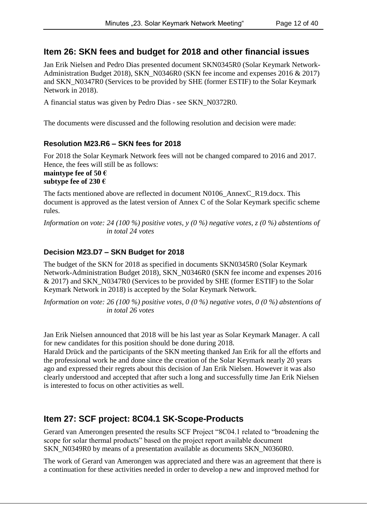## **Item 26: SKN fees and budget for 2018 and other financial issues**

Jan Erik Nielsen and Pedro Dias presented document SKN0345R0 (Solar Keymark Network-Administration Budget 2018), SKN\_N0346R0 (SKN fee income and expenses 2016 & 2017) and SKN\_N0347R0 (Services to be provided by SHE (former ESTIF) to the Solar Keymark Network in 2018).

A financial status was given by Pedro Dias - see SKN\_N0372R0.

The documents were discussed and the following resolution and decision were made:

#### **Resolution M23.R6 – SKN fees for 2018**

For 2018 the Solar Keymark Network fees will not be changed compared to 2016 and 2017. Hence, the fees will still be as follows: **maintype fee of 50 € subtype fee of 230 €**

The facts mentioned above are reflected in document N0106\_AnnexC\_R19.docx. This document is approved as the latest version of Annex C of the Solar Keymark specific scheme rules.

*Information on vote: 24 (100 %) positive votes, y (0 %) negative votes, z (0 %) abstentions of in total 24 votes*

#### **Decision M23.D7 – SKN Budget for 2018**

The budget of the SKN for 2018 as specified in documents SKN0345R0 (Solar Keymark Network-Administration Budget 2018), SKN\_N0346R0 (SKN fee income and expenses 2016 & 2017) and SKN\_N0347R0 (Services to be provided by SHE (former ESTIF) to the Solar Keymark Network in 2018) is accepted by the Solar Keymark Network.

*Information on vote: 26 (100 %) positive votes, 0 (0 %) negative votes, 0 (0 %) abstentions of in total 26 votes*

Jan Erik Nielsen announced that 2018 will be his last year as Solar Keymark Manager. A call for new candidates for this position should be done during 2018.

Harald Drück and the participants of the SKN meeting thanked Jan Erik for all the efforts and the professional work he and done since the creation of the Solar Keymark nearly 20 years ago and expressed their regrets about this decision of Jan Erik Nielsen. However it was also clearly understood and accepted that after such a long and successfully time Jan Erik Nielsen is interested to focus on other activities as well.

## **Item 27: SCF project: 8C04.1 SK-Scope-Products**

Gerard van Amerongen presented the results SCF Project "8C04.1 related to "broadening the scope for solar thermal products" based on the project report available document SKN\_N0349R0 by means of a presentation available as documents SKN\_N0360R0.

The work of Gerard van Amerongen was appreciated and there was an agreement that there is a continuation for these activities needed in order to develop a new and improved method for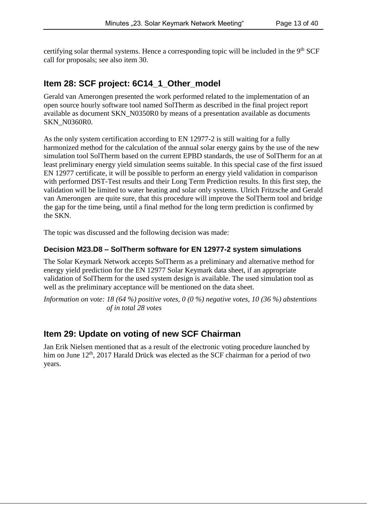certifying solar thermal systems. Hence a corresponding topic will be included in the 9<sup>th</sup> SCF call for proposals; see also item 30.

## **Item 28: SCF project: 6C14\_1\_Other\_model**

Gerald van Amerongen presented the work performed related to the implementation of an open source hourly software tool named SolTherm as described in the final project report available as document SKN\_N0350R0 by means of a presentation available as documents SKN N0360R0.

As the only system certification according to EN 12977-2 is still waiting for a fully harmonized method for the calculation of the annual solar energy gains by the use of the new simulation tool SolTherm based on the current EPBD standards, the use of SolTherm for an at least preliminary energy yield simulation seems suitable. In this special case of the first issued EN 12977 certificate, it will be possible to perform an energy yield validation in comparison with performed DST-Test results and their Long Term Prediction results. In this first step, the validation will be limited to water heating and solar only systems. Ulrich Fritzsche and Gerald van Amerongen are quite sure, that this procedure will improve the SolTherm tool and bridge the gap for the time being, until a final method for the long term prediction is confirmed by the SKN.

The topic was discussed and the following decision was made:

#### **Decision M23.D8 – SolTherm software for EN 12977-2 system simulations**

The Solar Keymark Network accepts SolTherm as a preliminary and alternative method for energy yield prediction for the EN 12977 Solar Keymark data sheet, if an appropriate validation of SolTherm for the used system design is available. The used simulation tool as well as the preliminary acceptance will be mentioned on the data sheet.

*Information on vote: 18 (64 %) positive votes, 0 (0 %) negative votes, 10 (36 %) abstentions of in total 28 votes*

## **Item 29: Update on voting of new SCF Chairman**

Jan Erik Nielsen mentioned that as a result of the electronic voting procedure launched by him on June 12<sup>th</sup>, 2017 Harald Drück was elected as the SCF chairman for a period of two years.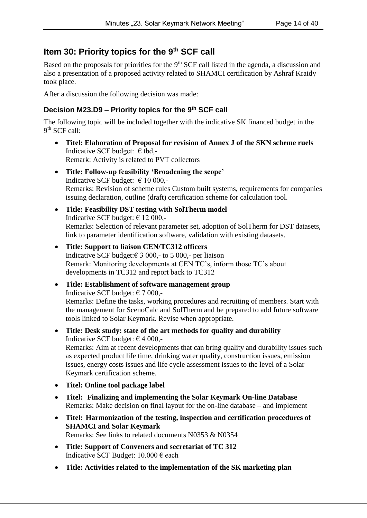## **Item 30: Priority topics for the 9th SCF call**

Based on the proposals for priorities for the 9<sup>th</sup> SCF call listed in the agenda, a discussion and also a presentation of a proposed activity related to SHAMCI certification by Ashraf Kraidy took place.

After a discussion the following decision was made:

#### **Decision M23.D9 – Priority topics for the 9 th SCF call**

The following topic will be included together with the indicative SK financed budget in the 9<sup>th</sup> SCF call:

- **Titel: Elaboration of Proposal for revision of Annex J of the SKN scheme ruels** Indicative SCF budget:  $\epsilon$  tbd,-Remark: Activity is related to PVT collectors
- **Title: Follow-up feasibility 'Broadening the scope'** Indicative SCF budget:  $\epsilon$  10 000,-Remarks: Revision of scheme rules Custom built systems, requirements for companies issuing declaration, outline (draft) certification scheme for calculation tool.
- **Title: Feasibility DST testing with SolTherm model**  Indicative SCF budget:  $\epsilon$  12 000,-Remarks: Selection of relevant parameter set, adoption of SolTherm for DST datasets, link to parameter identification software, validation with existing datasets.
- **Title: Support to liaison CEN/TC312 officers** Indicative SCF budget: $\epsilon$  3 000,- to 5 000,- per liaison Remark: Monitoring developments at CEN TC's, inform those TC's about developments in TC312 and report back to TC312
- **Title: Establishment of software management group** Indicative SCF budget:  $\epsilon$  7 000,-Remarks: Define the tasks, working procedures and recruiting of members. Start with the management for ScenoCalc and SolTherm and be prepared to add future software tools linked to Solar Keymark. Revise when appropriate.
- **Title: Desk study: state of the art methods for quality and durability** Indicative SCF budget:  $\epsilon$  4 000,-Remarks: Aim at recent developments that can bring quality and durability issues such as expected product life time, drinking water quality, construction issues, emission issues, energy costs issues and life cycle assessment issues to the level of a Solar Keymark certification scheme.
- **Titel: Online tool package label**
- **Titel: Finalizing and implementing the Solar Keymark On-line Database** Remarks: Make decision on final layout for the on-line database – and implement
- **Titel: Harmonization of the testing, inspection and certification procedures of SHAMCI and Solar Keymark** Remarks: See links to related documents N0353 & N0354
- **Title: Support of Conveners and secretariat of TC 312**  Indicative SCF Budget:  $10.000 \in each$
- **Title: Activities related to the implementation of the SK marketing plan**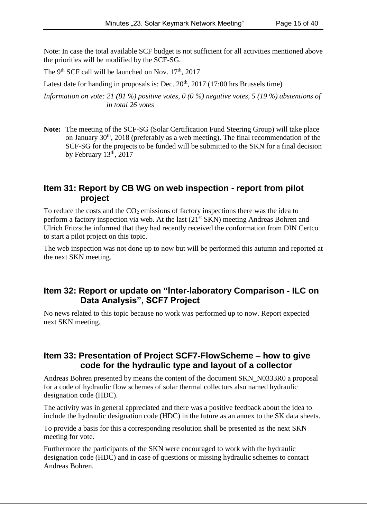Note: In case the total available SCF budget is not sufficient for all activities mentioned above the priorities will be modified by the SCF-SG.

The 9<sup>th</sup> SCF call will be launched on Nov.  $17<sup>th</sup>$ , 2017

Latest date for handing in proposals is: Dec.  $20<sup>th</sup>$ ,  $2017$  (17:00 hrs Brussels time)

*Information on vote: 21 (81 %) positive votes, 0 (0 %) negative votes, 5 (19 %) abstentions of in total 26 votes*

**Note:** The meeting of the SCF-SG (Solar Certification Fund Steering Group) will take place on January 30th, 2018 (preferably as a web meeting). The final recommendation of the SCF-SG for the projects to be funded will be submitted to the SKN for a final decision by February  $13<sup>th</sup>$ ,  $2017$ 

## **Item 31: Report by CB WG on web inspection - report from pilot project**

To reduce the costs and the  $CO<sub>2</sub>$  emissions of factory inspections there was the idea to perform a factory inspection via web. At the last (21<sup>st</sup> SKN) meeting Andreas Bohren and Ulrich Fritzsche informed that they had recently received the conformation from DIN Certco to start a pilot project on this topic.

The web inspection was not done up to now but will be performed this autumn and reported at the next SKN meeting.

## **Item 32: Report or update on "Inter-laboratory Comparison - ILC on Data Analysis", SCF7 Project**

No news related to this topic because no work was performed up to now. Report expected next SKN meeting.

## **Item 33: Presentation of Project SCF7-FlowScheme – how to give code for the hydraulic type and layout of a collector**

Andreas Bohren presented by means the content of the document SKN\_N0333R0 a proposal for a code of hydraulic flow schemes of solar thermal collectors also named hydraulic designation code (HDC).

The activity was in general appreciated and there was a positive feedback about the idea to include the hydraulic designation code (HDC) in the future as an annex to the SK data sheets.

To provide a basis for this a corresponding resolution shall be presented as the next SKN meeting for vote.

Furthermore the participants of the SKN were encouraged to work with the hydraulic designation code (HDC) and in case of questions or missing hydraulic schemes to contact Andreas Bohren.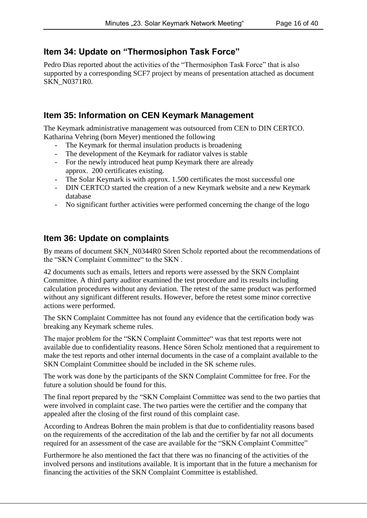## **Item 34: Update on "Thermosiphon Task Force"**

Pedro Dias reported about the activities of the "Thermosiphon Task Force" that is also supported by a corresponding SCF7 project by means of presentation attached as document SKN\_N0371R0.

## **Item 35: Information on CEN Keymark Management**

The Keymark administrative management was outsourced from CEN to DIN CERTCO. Katharina Vehring (born Meyer) mentioned the following

- The Keymark for thermal insulation products is broadening
- The development of the Keymark for radiator valves is stable
- For the newly introduced heat pump Keymark there are already approx. 200 certificates existing.
- The Solar Keymark is with approx. 1.500 certificates the most successful one
- DIN CERTCO started the creation of a new Keymark website and a new Keymark database
- No significant further activities were performed concerning the change of the logo

## **Item 36: Update on complaints**

By means of document SKN\_N0344R0 Sören Scholz reported about the recommendations of the "SKN Complaint Committee" to the SKN .

42 documents such as emails, letters and reports were assessed by the SKN Complaint Committee. A third party auditor examined the test procedure and its results including calculation procedures without any deviation. The retest of the same product was performed without any significant different results. However, before the retest some minor corrective actions were performed.

The SKN Complaint Committee has not found any evidence that the certification body was breaking any Keymark scheme rules.

The major problem for the "SKN Complaint Committee" was that test reports were not available due to confidentiality reasons. Hence Sören Scholz mentioned that a requirement to make the test reports and other internal documents in the case of a complaint available to the SKN Complaint Committee should be included in the SK scheme rules.

The work was done by the participants of the SKN Complaint Committee for free. For the future a solution should be found for this.

The final report prepared by the "SKN Complaint Committee was send to the two parties that were involved in complaint case. The two parties were the certifier and the company that appealed after the closing of the first round of this complaint case.

According to Andreas Bohren the main problem is that due to confidentiality reasons based on the requirements of the accreditation of the lab and the certifier by far not all documents required for an assessment of the case are available for the "SKN Complaint Committee"

Furthermore he also mentioned the fact that there was no financing of the activities of the involved persons and institutions available. It is important that in the future a mechanism for financing the activities of the SKN Complaint Committee is established.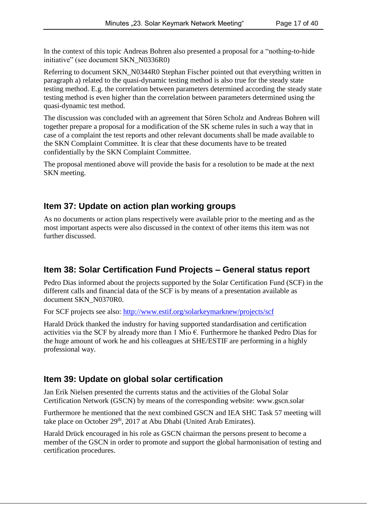In the context of this topic Andreas Bohren also presented a proposal for a "nothing-to-hide initiative" (see document SKN\_N0336R0)

Referring to document SKN\_N0344R0 Stephan Fischer pointed out that everything written in paragraph a) related to the quasi-dynamic testing method is also true for the steady state testing method. E.g. the correlation between parameters determined according the steady state testing method is even higher than the correlation between parameters determined using the quasi-dynamic test method.

The discussion was concluded with an agreement that Sören Scholz and Andreas Bohren will together prepare a proposal for a modification of the SK scheme rules in such a way that in case of a complaint the test reports and other relevant documents shall be made available to the SKN Complaint Committee. It is clear that these documents have to be treated confidentially by the SKN Complaint Committee.

The proposal mentioned above will provide the basis for a resolution to be made at the next SKN meeting.

## **Item 37: Update on action plan working groups**

As no documents or action plans respectively were available prior to the meeting and as the most important aspects were also discussed in the context of other items this item was not further discussed.

## **Item 38: Solar Certification Fund Projects – General status report**

Pedro Dias informed about the projects supported by the Solar Certification Fund (SCF) in the different calls and financial data of the SCF is by means of a presentation available as document SKN\_N0370R0.

For SCF projects see also:<http://www.estif.org/solarkeymarknew/projects/scf>

Harald Drück thanked the industry for having supported standardisation and certification activities via the SCF by already more than 1 Mio  $\epsilon$ . Furthermore he thanked Pedro Dias for the huge amount of work he and his colleagues at SHE/ESTIF are performing in a highly professional way.

## **Item 39: Update on global solar certification**

Jan Erik Nielsen presented the currents status and the activities of the Global Solar Certification Network (GSCN) by means of the corresponding website: www.gscn.solar

Furthermore he mentioned that the next combined GSCN and IEA SHC Task 57 meeting will take place on October 29<sup>th</sup>, 2017 at Abu Dhabi (United Arab Emirates).

Harald Drück encouraged in his role as GSCN chairman the persons present to become a member of the GSCN in order to promote and support the global harmonisation of testing and certification procedures.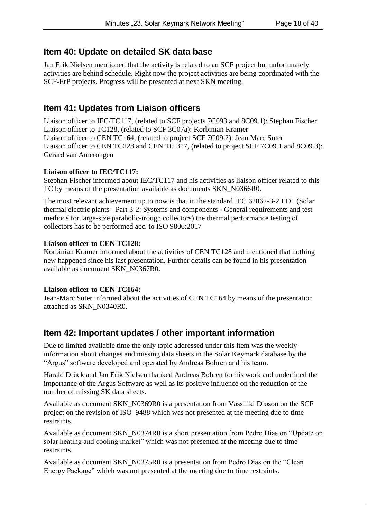## **Item 40: Update on detailed SK data base**

Jan Erik Nielsen mentioned that the activity is related to an SCF project but unfortunately activities are behind schedule. Right now the project activities are being coordinated with the SCF-ErP projects. Progress will be presented at next SKN meeting.

## **Item 41: Updates from Liaison officers**

Liaison officer to IEC/TC117, (related to SCF projects 7C093 and 8C09.1): Stephan Fischer Liaison officer to TC128, (related to SCF 3C07a): Korbinian Kramer Liaison officer to CEN TC164, (related to project SCF 7C09.2): Jean Marc Suter Liaison officer to CEN TC228 and CEN TC 317, (related to project SCF 7C09.1 and 8C09.3): Gerard van Amerongen

#### **Liaison officer to IEC/TC117:**

Stephan Fischer informed about IEC/TC117 and his activities as liaison officer related to this TC by means of the presentation available as documents SKN\_N0366R0.

The most relevant achievement up to now is that in the standard IEC 62862-3-2 ED1 (Solar thermal electric plants - Part 3-2: Systems and components - General requirements and test methods for large-size parabolic-trough collectors) the thermal performance testing of collectors has to be performed acc. to ISO 9806:2017

#### **Liaison officer to CEN TC128:**

Korbinian Kramer informed about the activities of CEN TC128 and mentioned that nothing new happened since his last presentation. Further details can be found in his presentation available as document SKN\_N0367R0.

#### **Liaison officer to CEN TC164:**

Jean-Marc Suter informed about the activities of CEN TC164 by means of the presentation attached as SKN\_N0340R0.

## **Item 42: Important updates / other important information**

Due to limited available time the only topic addressed under this item was the weekly information about changes and missing data sheets in the Solar Keymark database by the "Argus" software developed and operated by Andreas Bohren and his team.

Harald Drück and Jan Erik Nielsen thanked Andreas Bohren for his work and underlined the importance of the Argus Software as well as its positive influence on the reduction of the number of missing SK data sheets.

Available as document SKN\_N0369R0 is a presentation from Vassiliki Drosou on the SCF project on the revision of ISO 9488 which was not presented at the meeting due to time restraints.

Available as document SKN\_N0374R0 is a short presentation from Pedro Dias on "Update on solar heating and cooling market" which was not presented at the meeting due to time restraints.

Available as document SKN\_N0375R0 is a presentation from Pedro Dias on the "Clean Energy Package" which was not presented at the meeting due to time restraints.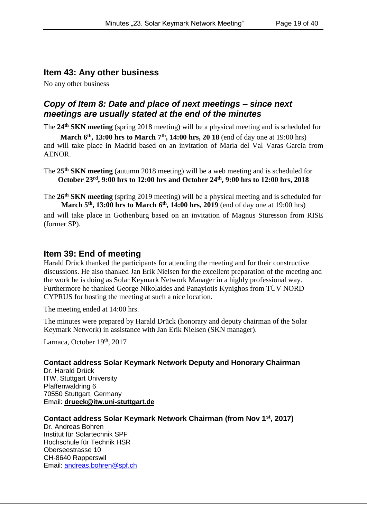## **Item 43: Any other business**

No any other business

## *Copy of Item 8: Date and place of next meetings – since next meetings are usually stated at the end of the minutes*

The **24th SKN meeting** (spring 2018 meeting) will be a physical meeting and is scheduled for

**March 6th, 13:00 hrs to March 7th, 14:00 hrs, 20 18** (end of day one at 19:00 hrs) and will take place in Madrid based on an invitation of Maria del Val Varas Garcia from **AENOR** 

The **25th SKN meeting** (autumn 2018 meeting) will be a web meeting and is scheduled for **October 23rd, 9:00 hrs to 12:00 hrs and October 24th, 9:00 hrs to 12:00 hrs, 2018**

The **26th SKN meeting** (spring 2019 meeting) will be a physical meeting and is scheduled for **March 5th, 13:00 hrs to March 6th, 14:00 hrs, 2019** (end of day one at 19:00 hrs)

and will take place in Gothenburg based on an invitation of Magnus Sturesson from RISE (former SP).

#### **Item 39: End of meeting**

Harald Drück thanked the participants for attending the meeting and for their constructive discussions. He also thanked Jan Erik Nielsen for the excellent preparation of the meeting and the work he is doing as Solar Keymark Network Manager in a highly professional way. Furthermore he thanked George Nikolaides and Panayiotis Kynighos from TÜV NORD CYPRUS for hosting the meeting at such a nice location.

The meeting ended at 14:00 hrs.

The minutes were prepared by Harald Drück (honorary and deputy chairman of the Solar Keymark Network) in assistance with Jan Erik Nielsen (SKN manager).

Larnaca, October 19th, 2017

#### **Contact address Solar Keymark Network Deputy and Honorary Chairman**

Dr. Harald Drück ITW, Stuttgart University Pfaffenwaldring 6 70550 Stuttgart, Germany Email: **[drueck@itw.uni-stuttgart.de](mailto:drueck@itw.uni-stuttgart.de)**

#### **Contact address Solar Keymark Network Chairman (from Nov 1st, 2017)**

Dr. Andreas Bohren Institut für Solartechnik SPF Hochschule für Technik HSR Oberseestrasse 10 CH-8640 Rapperswil Email: [andreas.bohren@spf.ch](mailto:andreas.bohren@spf.ch)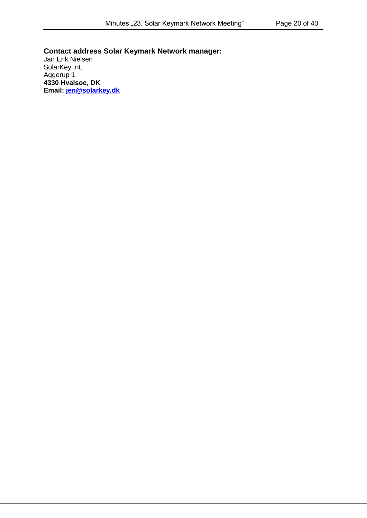**Contact address Solar Keymark Network manager:**  Jan Erik Nielsen SolarKey Int. Aggerup 1 **4330 Hvalsoe, DK Email: [jen@solarkey.dk](mailto:jen@solarkey.dk)**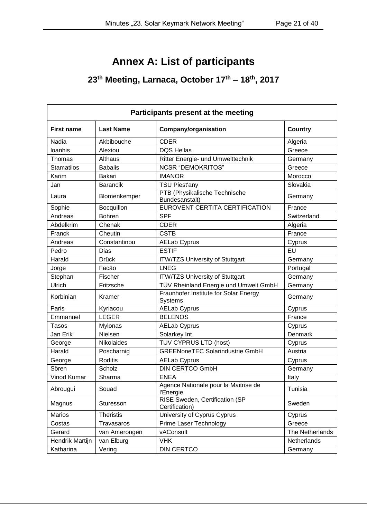## **Annex A: List of participants**

## **23th Meeting, Larnaca, October 17th – 18th , 2017**

| Participants present at the meeting |                   |                                                         |                 |  |
|-------------------------------------|-------------------|---------------------------------------------------------|-----------------|--|
| <b>First name</b>                   | <b>Last Name</b>  | <b>Company/organisation</b>                             | <b>Country</b>  |  |
| Nadia                               | Akbibouche        | <b>CDER</b>                                             | Algeria         |  |
| loanhis                             | Alexiou           | <b>DQS Hellas</b>                                       | Greece          |  |
| Thomas                              | Althaus           | Ritter Energie- und Umwelttechnik                       | Germany         |  |
| <b>Stamatilos</b>                   | <b>Babalis</b>    | <b>NCSR "DEMOKRITOS"</b>                                | Greece          |  |
| Karim                               | <b>Bakari</b>     | <b>IMANOR</b>                                           | Morocco         |  |
| Jan                                 | <b>Barancik</b>   | TSÜ Piest'any                                           | Slovakia        |  |
| Laura                               | Blomenkemper      | PTB (Physikalische Technische<br>Bundesanstalt)         | Germany         |  |
| Sophie                              | Bocquillon        | EUROVENT CERTITA CERTIFICATION                          | France          |  |
| Andreas                             | <b>Bohren</b>     | <b>SPF</b>                                              | Switzerland     |  |
| Abdelkrim                           | Chenak            | <b>CDER</b>                                             | Algeria         |  |
| Franck                              | Cheutin           | <b>CSTB</b>                                             | France          |  |
| Andreas                             | Constantinou      | <b>AELab Cyprus</b>                                     | Cyprus          |  |
| Pedro                               | Dias              | <b>ESTIF</b>                                            | EU              |  |
| Harald                              | <b>Drück</b>      | <b>ITW/TZS University of Stuttgart</b>                  | Germany         |  |
| Jorge                               | Facäo             | <b>LNEG</b>                                             | Portugal        |  |
| Stephan                             | Fischer           | <b>ITW/TZS University of Stuttgart</b>                  | Germany         |  |
| Ulrich                              | Fritzsche         | TÜV Rheinland Energie und Umwelt GmbH                   | Germany         |  |
| Korbinian                           | Kramer            | Fraunhofer Institute for Solar Energy<br><b>Systems</b> | Germany         |  |
| Paris                               | Kyriacou          | <b>AELab Cyprus</b>                                     | Cyprus          |  |
| Emmanuel                            | <b>LEGER</b>      | <b>BELENOS</b>                                          | France          |  |
| <b>Tasos</b>                        | Mylonas           | <b>AELab Cyprus</b>                                     | Cyprus          |  |
| Jan Erik                            | Nielsen           | Solarkey Int.                                           | Denmark         |  |
| George                              | <b>Nikolaides</b> | TUV CYPRUS LTD (host)                                   | Cyprus          |  |
| Harald                              | Poscharnig        | <b>GREENoneTEC Solarindustrie GmbH</b>                  | Austria         |  |
| George                              | <b>Roditis</b>    | <b>AELab Cyprus</b>                                     | Cyprus          |  |
| Sören                               | Scholz            | <b>DIN CERTCO GmbH</b>                                  | Germany         |  |
| Vinod Kumar                         | Sharma            | <b>ENEA</b>                                             | Italy           |  |
| Abrougui                            | Souad             | Agence Nationale pour la Maitrise de<br>l'Energie       | Tunisia         |  |
| Magnus                              | Sturesson         | RISE Sweden, Certification (SP<br>Certification)        | Sweden          |  |
| <b>Marios</b>                       | <b>Theristis</b>  | University of Cyprus Cyprus                             | Cyprus          |  |
| Costas                              | Travasaros        | Prime Laser Technology                                  | Greece          |  |
| Gerard                              | van Amerongen     | vAConsult                                               | The Netherlands |  |
| Hendrik Martijn                     | van Elburg        | <b>VHK</b>                                              | Netherlands     |  |
| Katharina                           | Vering            | <b>DIN CERTCO</b>                                       | Germany         |  |